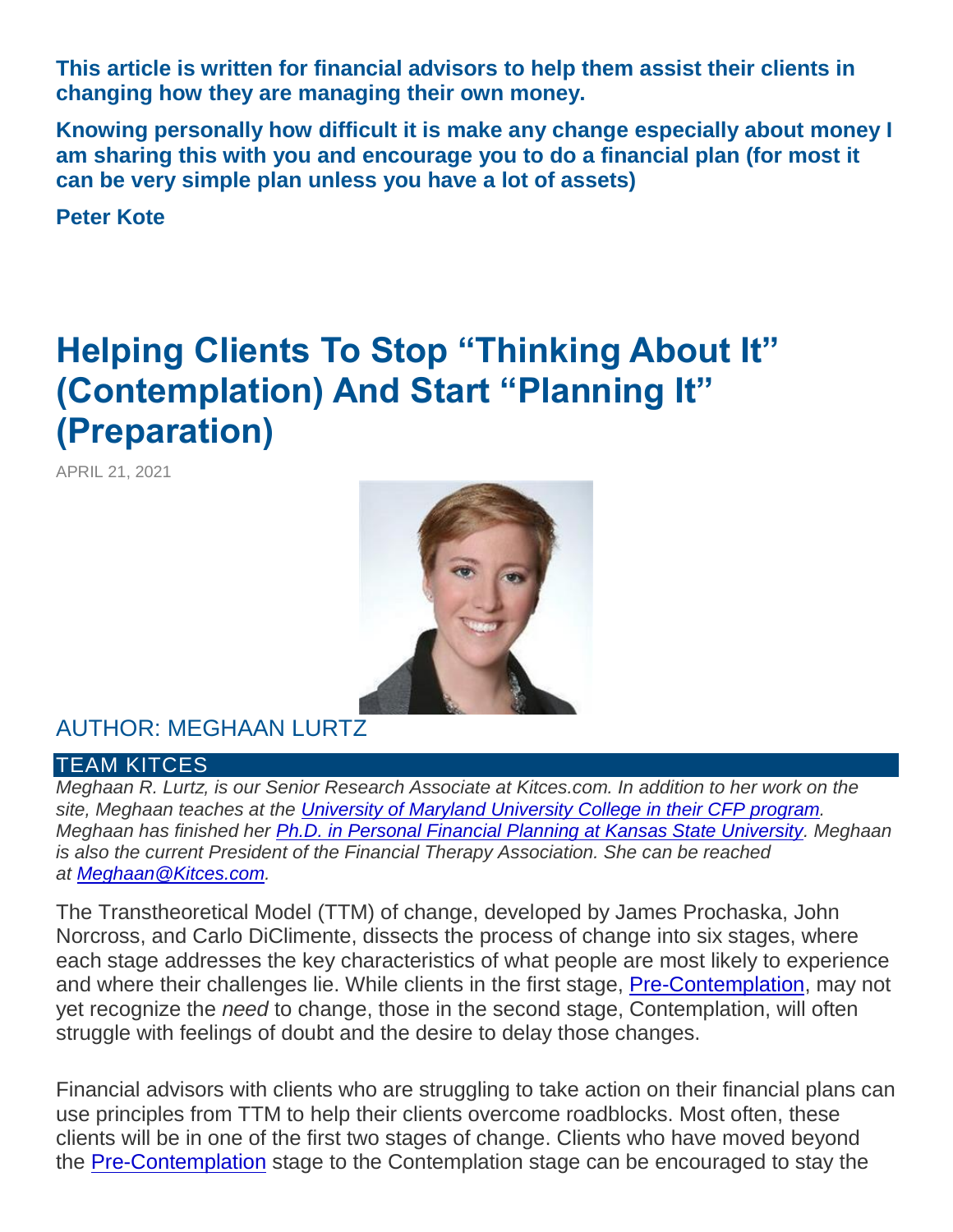**This article is written for financial advisors to help them assist their clients in changing how they are managing their own money.**

**Knowing personally how difficult it is make any change especially about money I am sharing this with you and encourage you to do a financial plan (for most it can be very simple plan unless you have a lot of assets)**

**Peter Kote** 

# **Helping Clients To Stop "Thinking About It" (Contemplation) And Start "Planning It" (Preparation)**

APRIL 21, 2021



# AUTHOR: MEGHAAN LURTZ

#### TEAM KITCES

*Meghaan R. Lurtz, is our Senior Research Associate at Kitces.com. In addition to her work on the site, Meghaan teaches at the [University of Maryland University College in their CFP program.](https://www.umuc.edu/academic-programs/business-and-management/certified-financial-planner-certification.cfm) Meghaan has finished her [Ph.D. in Personal Financial Planning at Kansas State University.](https://www.ipfp.k-state.edu/grad/phd/) Meghaan is also the current President of the Financial Therapy Association. She can be reached at [Meghaan@Kitces.com.](mailto:Meghaan@Kitces.com)*

The Transtheoretical Model (TTM) of change, developed by James Prochaska, John Norcross, and Carlo DiClimente, dissects the process of change into six stages, where each stage addresses the key characteristics of what people are most likely to experience and where their challenges lie. While clients in the first stage, [Pre-Contemplation,](https://www.kitces.com/blog/pre-contemplation-stages-of-change-transtheoretical-model-changing-to-thrive/) may not yet recognize the *need* to change, those in the second stage, Contemplation, will often struggle with feelings of doubt and the desire to delay those changes.

Financial advisors with clients who are struggling to take action on their financial plans can use principles from TTM to help their clients overcome roadblocks. Most often, these clients will be in one of the first two stages of change. Clients who have moved beyond the [Pre-Contemplation](https://www.kitces.com/blog/pre-contemplation-stages-of-change-transtheoretical-model-changing-to-thrive/) stage to the Contemplation stage can be encouraged to stay the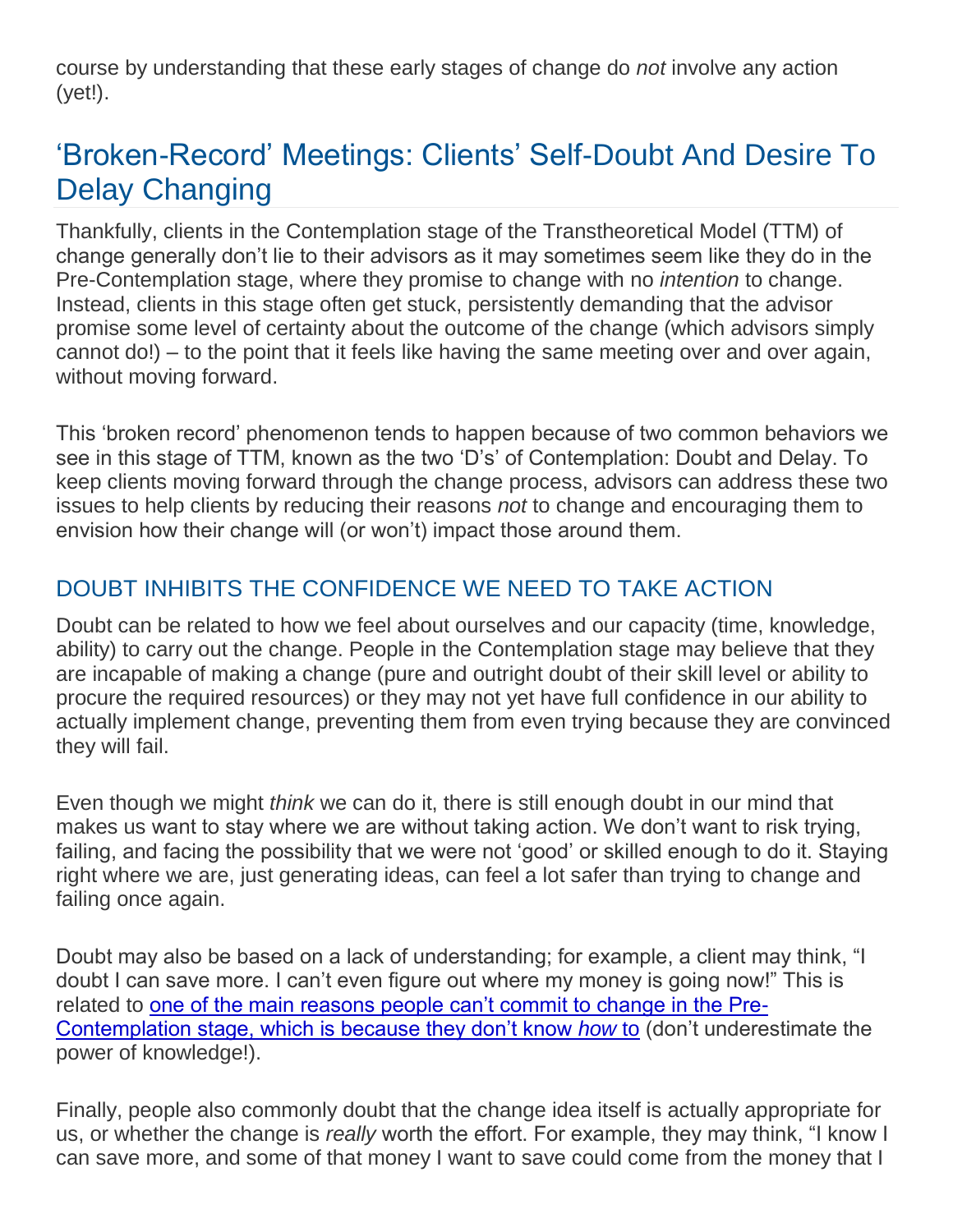course by understanding that these early stages of change do *not* involve any action (yet!).

# 'Broken-Record' Meetings: Clients' Self-Doubt And Desire To Delay Changing

Thankfully, clients in the Contemplation stage of the Transtheoretical Model (TTM) of change generally don't lie to their advisors as it may sometimes seem like they do in the Pre-Contemplation stage, where they promise to change with no *intention* to change. Instead, clients in this stage often get stuck, persistently demanding that the advisor promise some level of certainty about the outcome of the change (which advisors simply cannot do!) – to the point that it feels like having the same meeting over and over again, without moving forward.

This 'broken record' phenomenon tends to happen because of two common behaviors we see in this stage of TTM, known as the two 'D's' of Contemplation: Doubt and Delay. To keep clients moving forward through the change process, advisors can address these two issues to help clients by reducing their reasons *not* to change and encouraging them to envision how their change will (or won't) impact those around them.

# DOUBT INHIBITS THE CONFIDENCE WE NEED TO TAKE ACTION

Doubt can be related to how we feel about ourselves and our capacity (time, knowledge, ability) to carry out the change. People in the Contemplation stage may believe that they are incapable of making a change (pure and outright doubt of their skill level or ability to procure the required resources) or they may not yet have full confidence in our ability to actually implement change, preventing them from even trying because they are convinced they will fail.

Even though we might *think* we can do it, there is still enough doubt in our mind that makes us want to stay where we are without taking action. We don't want to risk trying, failing, and facing the possibility that we were not 'good' or skilled enough to do it. Staying right where we are, just generating ideas, can feel a lot safer than trying to change and failing once again.

Doubt may also be based on a lack of understanding; for example, a client may think, "I doubt I can save more. I can't even figure out where my money is going now!" This is related to [one of the main reasons people can't commit to change in the Pre-](https://www.kitces.com/blog/pre-contemplation-stages-of-change-transtheoretical-model-changing-to-thrive/)[Contemplation stage, which is because they don't know](https://www.kitces.com/blog/pre-contemplation-stages-of-change-transtheoretical-model-changing-to-thrive/) *how* to (don't underestimate the power of knowledge!).

Finally, people also commonly doubt that the change idea itself is actually appropriate for us, or whether the change is *really* worth the effort. For example, they may think, "I know I can save more, and some of that money I want to save could come from the money that I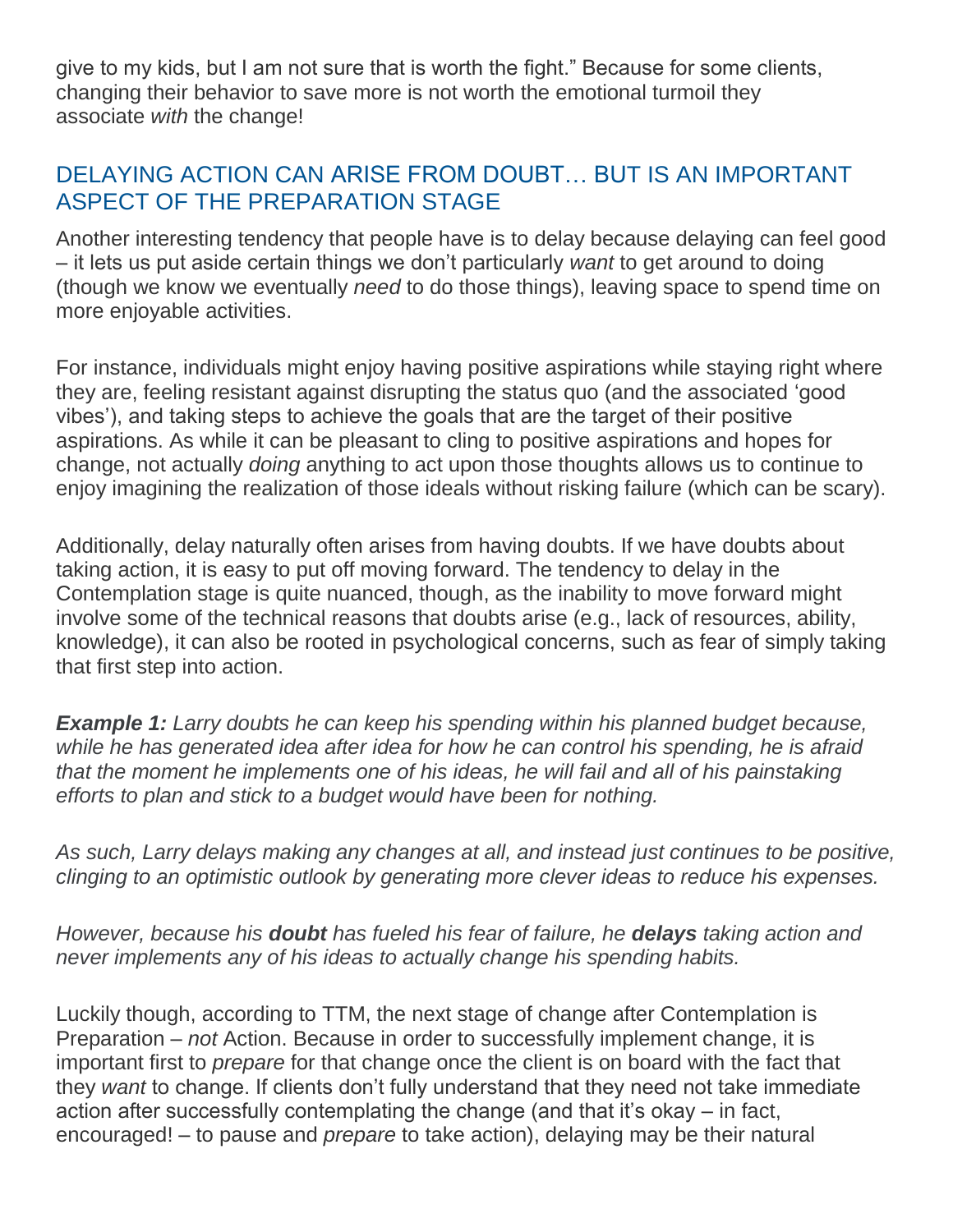give to my kids, but I am not sure that is worth the fight." Because for some clients, changing their behavior to save more is not worth the emotional turmoil they associate *with* the change!

# DELAYING ACTION CAN ARISE FROM DOUBT… BUT IS AN IMPORTANT ASPECT OF THE PREPARATION STAGE

Another interesting tendency that people have is to delay because delaying can feel good – it lets us put aside certain things we don't particularly *want* to get around to doing (though we know we eventually *need* to do those things), leaving space to spend time on more enjoyable activities.

For instance, individuals might enjoy having positive aspirations while staying right where they are, feeling resistant against disrupting the status quo (and the associated 'good vibes'), and taking steps to achieve the goals that are the target of their positive aspirations. As while it can be pleasant to cling to positive aspirations and hopes for change, not actually *doing* anything to act upon those thoughts allows us to continue to enjoy imagining the realization of those ideals without risking failure (which can be scary).

Additionally, delay naturally often arises from having doubts. If we have doubts about taking action, it is easy to put off moving forward. The tendency to delay in the Contemplation stage is quite nuanced, though, as the inability to move forward might involve some of the technical reasons that doubts arise (e.g., lack of resources, ability, knowledge), it can also be rooted in psychological concerns, such as fear of simply taking that first step into action.

*Example 1: Larry doubts he can keep his spending within his planned budget because, while he has generated idea after idea for how he can control his spending, he is afraid that the moment he implements one of his ideas, he will fail and all of his painstaking efforts to plan and stick to a budget would have been for nothing.*

*As such, Larry delays making any changes at all, and instead just continues to be positive, clinging to an optimistic outlook by generating more clever ideas to reduce his expenses.*

*However, because his doubt has fueled his fear of failure, he delays taking action and never implements any of his ideas to actually change his spending habits.*

Luckily though, according to TTM, the next stage of change after Contemplation is Preparation – *not* Action. Because in order to successfully implement change, it is important first to *prepare* for that change once the client is on board with the fact that they *want* to change. If clients don't fully understand that they need not take immediate action after successfully contemplating the change (and that it's okay – in fact, encouraged! – to pause and *prepare* to take action), delaying may be their natural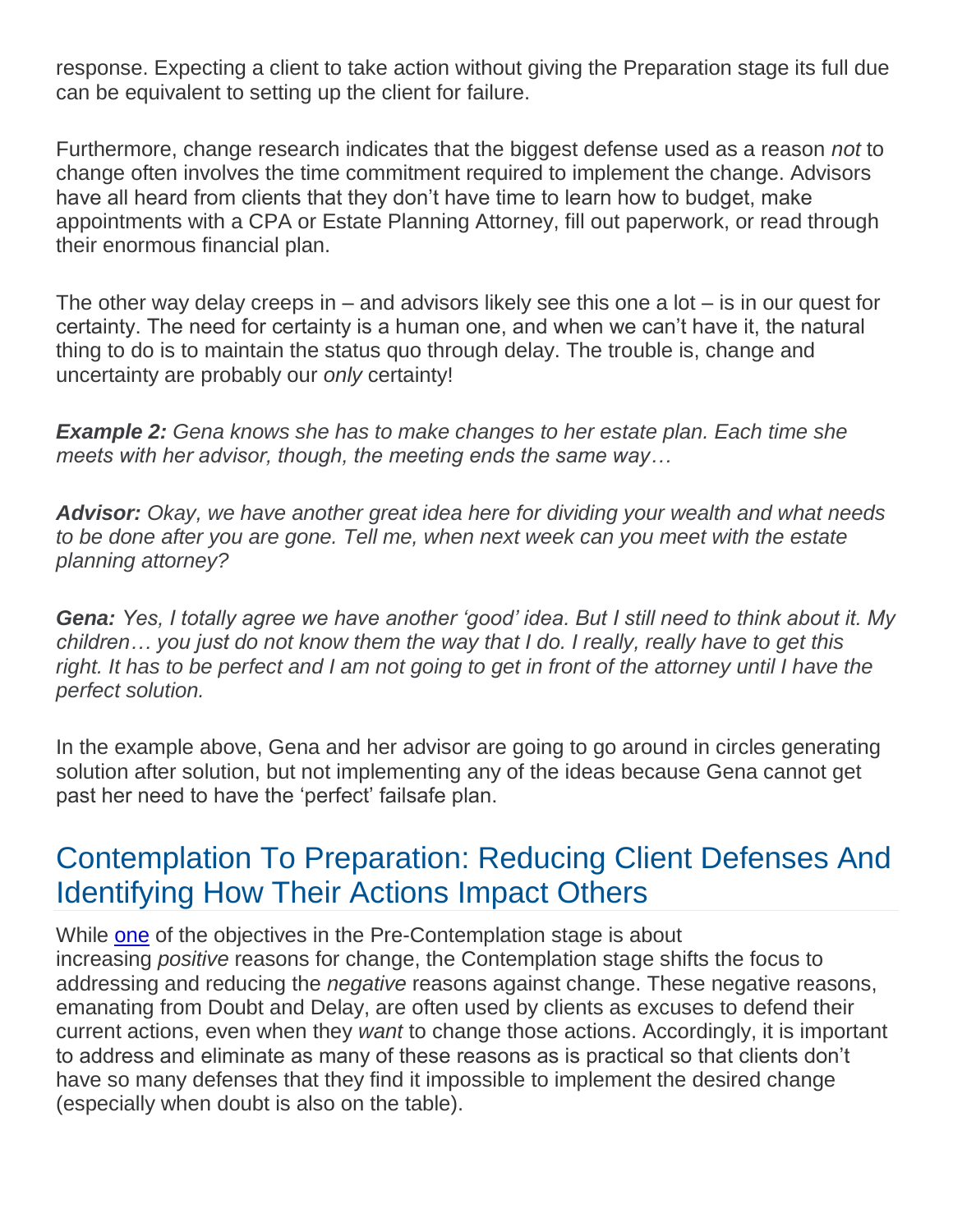response. Expecting a client to take action without giving the Preparation stage its full due can be equivalent to setting up the client for failure.

Furthermore, change research indicates that the biggest defense used as a reason *not* to change often involves the time commitment required to implement the change. Advisors have all heard from clients that they don't have time to learn how to budget, make appointments with a CPA or Estate Planning Attorney, fill out paperwork, or read through their enormous financial plan.

The other way delay creeps in – and advisors likely see this one a lot – is in our quest for certainty. The need for certainty is a human one, and when we can't have it, the natural thing to do is to maintain the status quo through delay. The trouble is, change and uncertainty are probably our *only* certainty!

*Example 2: Gena knows she has to make changes to her estate plan. Each time she meets with her advisor, though, the meeting ends the same way…*

*Advisor: Okay, we have another great idea here for dividing your wealth and what needs to be done after you are gone. Tell me, when next week can you meet with the estate planning attorney?*

*Gena: Yes, I totally agree we have another 'good' idea. But I still need to think about it. My children… you just do not know them the way that I do. I really, really have to get this*  right. It has to be perfect and I am not going to get in front of the attorney until I have the *perfect solution.*

In the example above, Gena and her advisor are going to go around in circles generating solution after solution, but not implementing any of the ideas because Gena cannot get past her need to have the 'perfect' failsafe plan.

# Contemplation To Preparation: Reducing Client Defenses And Identifying How Their Actions Impact Others

While [one](https://www.kitces.com/blog/pre-contemplation-stages-of-change-transtheoretical-model-changing-to-thrive/) of the objectives in the Pre-Contemplation stage is about increasing *positive* reasons for change, the Contemplation stage shifts the focus to addressing and reducing the *negative* reasons against change. These negative reasons, emanating from Doubt and Delay, are often used by clients as excuses to defend their current actions, even when they *want* to change those actions. Accordingly, it is important to address and eliminate as many of these reasons as is practical so that clients don't have so many defenses that they find it impossible to implement the desired change (especially when doubt is also on the table).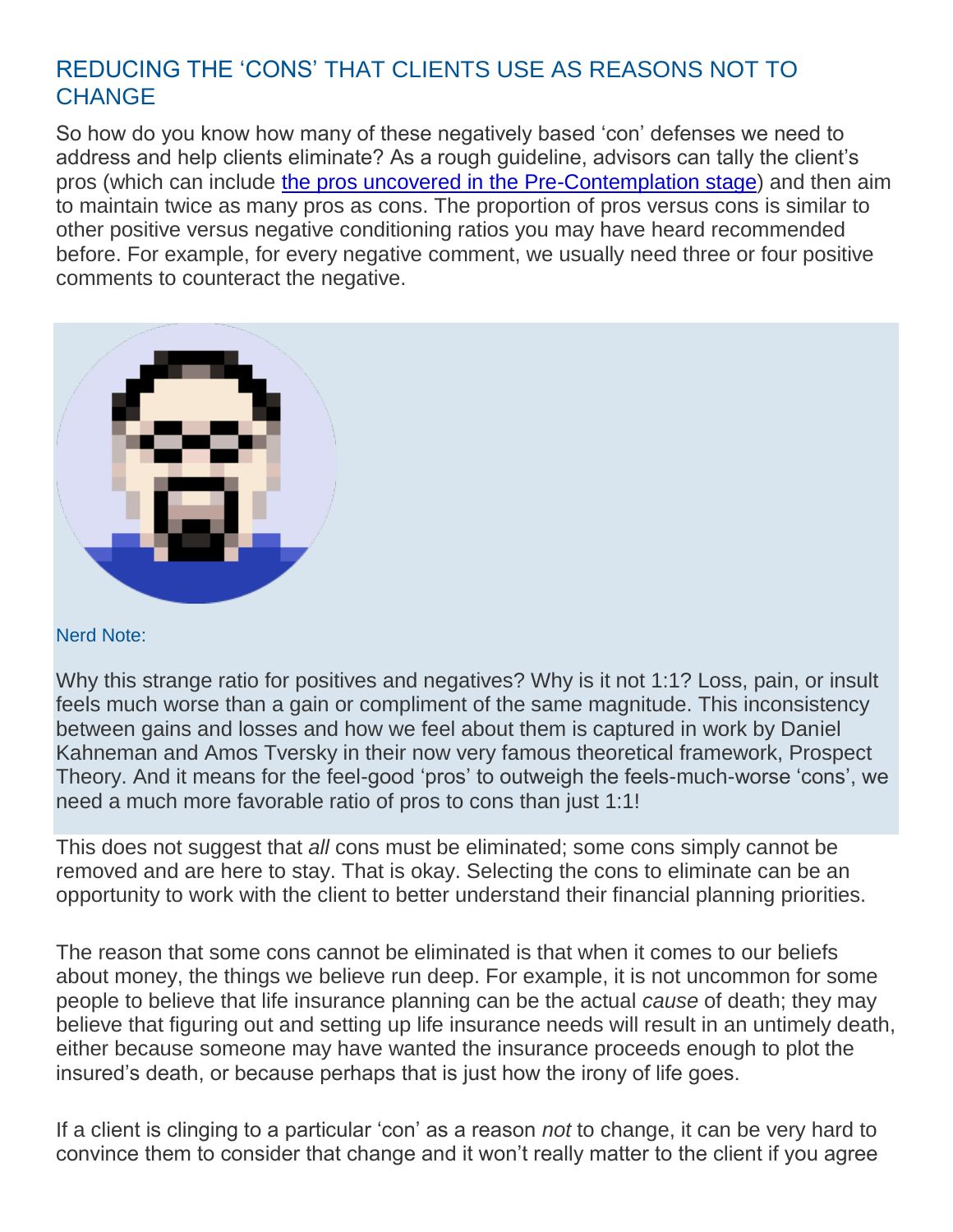# REDUCING THE 'CONS' THAT CLIENTS USE AS REASONS NOT TO **CHANGE**

So how do you know how many of these negatively based 'con' defenses we need to address and help clients eliminate? As a rough guideline, advisors can tally the client's pros (which can include [the pros uncovered in the Pre-Contemplation stage\)](https://www.kitces.com/blog/pre-contemplation-stages-of-change-transtheoretical-model-changing-to-thrive/) and then aim to maintain twice as many pros as cons. The proportion of pros versus cons is similar to other positive versus negative conditioning ratios you may have heard recommended before. For example, for every negative comment, we usually need three or four positive comments to counteract the negative.



#### Nerd Note:

Why this strange ratio for positives and negatives? Why is it not 1:1? Loss, pain, or insult feels much worse than a gain or compliment of the same magnitude. This inconsistency between gains and losses and how we feel about them is captured in work by Daniel Kahneman and Amos Tversky in their now very famous theoretical framework, Prospect Theory. And it means for the feel-good 'pros' to outweigh the feels-much-worse 'cons', we need a much more favorable ratio of pros to cons than just 1:1!

This does not suggest that *all* cons must be eliminated; some cons simply cannot be removed and are here to stay. That is okay. Selecting the cons to eliminate can be an opportunity to work with the client to better understand their financial planning priorities.

The reason that some cons cannot be eliminated is that when it comes to our beliefs about money, the things we believe run deep. For example, it is not uncommon for some people to believe that life insurance planning can be the actual *cause* of death; they may believe that figuring out and setting up life insurance needs will result in an untimely death, either because someone may have wanted the insurance proceeds enough to plot the insured's death, or because perhaps that is just how the irony of life goes.

If a client is clinging to a particular 'con' as a reason *not* to change, it can be very hard to convince them to consider that change and it won't really matter to the client if you agree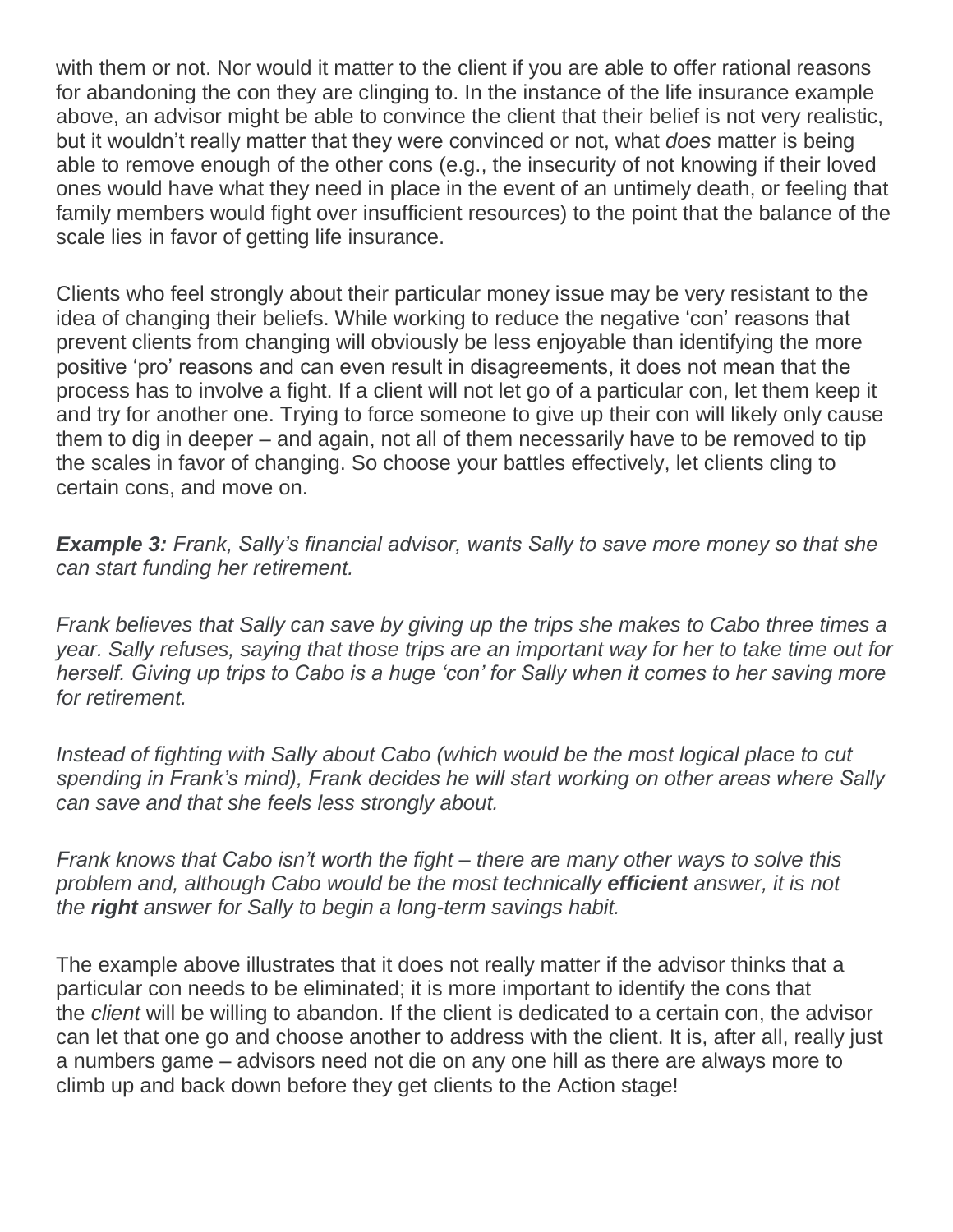with them or not. Nor would it matter to the client if you are able to offer rational reasons for abandoning the con they are clinging to. In the instance of the life insurance example above, an advisor might be able to convince the client that their belief is not very realistic, but it wouldn't really matter that they were convinced or not, what *does* matter is being able to remove enough of the other cons (e.g., the insecurity of not knowing if their loved ones would have what they need in place in the event of an untimely death, or feeling that family members would fight over insufficient resources) to the point that the balance of the scale lies in favor of getting life insurance.

Clients who feel strongly about their particular money issue may be very resistant to the idea of changing their beliefs. While working to reduce the negative 'con' reasons that prevent clients from changing will obviously be less enjoyable than identifying the more positive 'pro' reasons and can even result in disagreements, it does not mean that the process has to involve a fight. If a client will not let go of a particular con, let them keep it and try for another one. Trying to force someone to give up their con will likely only cause them to dig in deeper – and again, not all of them necessarily have to be removed to tip the scales in favor of changing. So choose your battles effectively, let clients cling to certain cons, and move on.

*Example 3: Frank, Sally's financial advisor, wants Sally to save more money so that she can start funding her retirement.*

*Frank believes that Sally can save by giving up the trips she makes to Cabo three times a year. Sally refuses, saying that those trips are an important way for her to take time out for herself. Giving up trips to Cabo is a huge 'con' for Sally when it comes to her saving more for retirement.*

*Instead of fighting with Sally about Cabo (which would be the most logical place to cut spending in Frank's mind), Frank decides he will start working on other areas where Sally can save and that she feels less strongly about.*

*Frank knows that Cabo isn't worth the fight – there are many other ways to solve this problem and, although Cabo would be the most technically efficient answer, it is not the right answer for Sally to begin a long-term savings habit.*

The example above illustrates that it does not really matter if the advisor thinks that a particular con needs to be eliminated; it is more important to identify the cons that the *client* will be willing to abandon. If the client is dedicated to a certain con, the advisor can let that one go and choose another to address with the client. It is, after all, really just a numbers game – advisors need not die on any one hill as there are always more to climb up and back down before they get clients to the Action stage!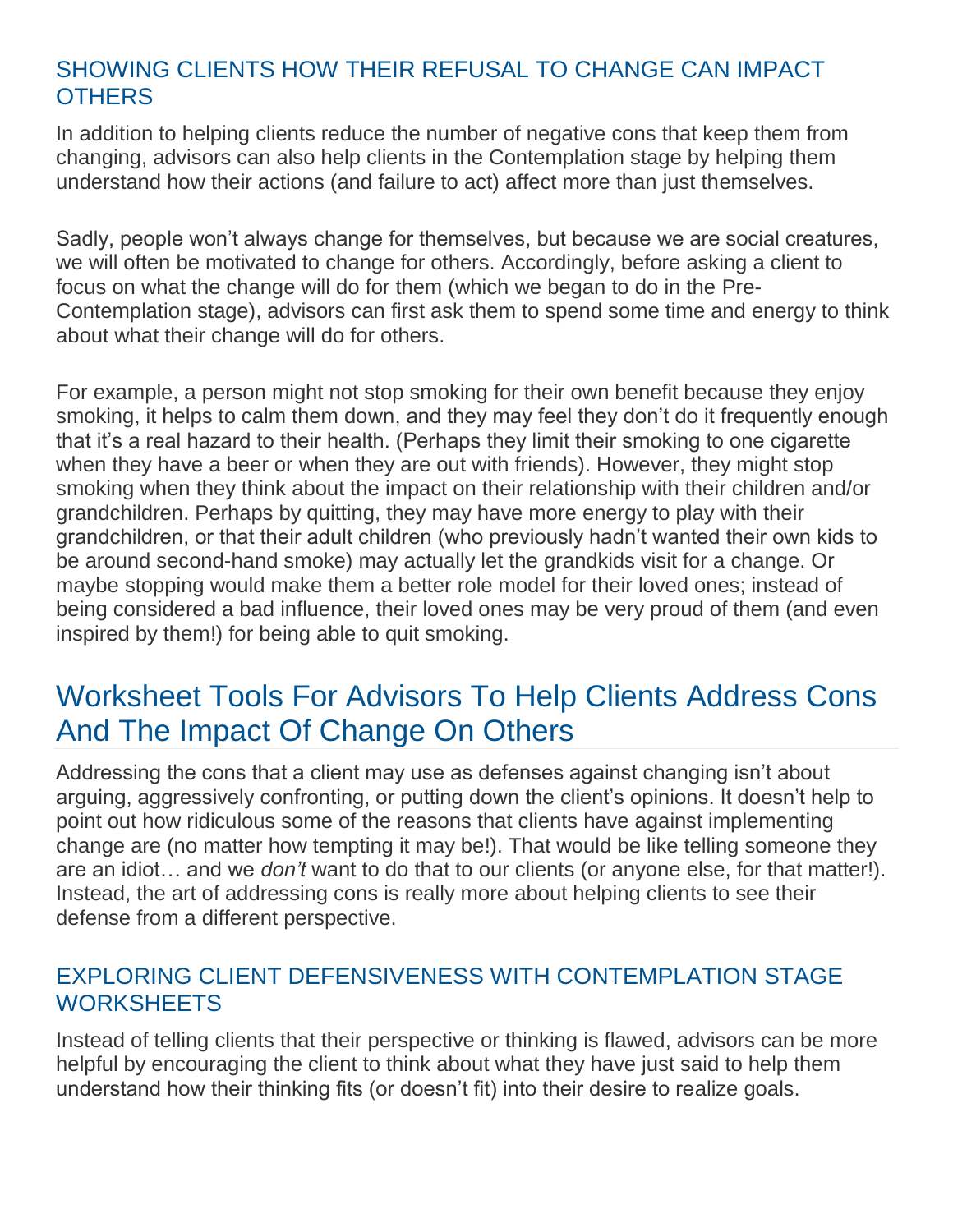# SHOWING CLIENTS HOW THEIR REFUSAL TO CHANGE CAN IMPACT **OTHERS**

In addition to helping clients reduce the number of negative cons that keep them from changing, advisors can also help clients in the Contemplation stage by helping them understand how their actions (and failure to act) affect more than just themselves.

Sadly, people won't always change for themselves, but because we are social creatures, we will often be motivated to change for others. Accordingly, before asking a client to focus on what the change will do for them (which we began to do in the Pre-Contemplation stage), advisors can first ask them to spend some time and energy to think about what their change will do for others.

For example, a person might not stop smoking for their own benefit because they enjoy smoking, it helps to calm them down, and they may feel they don't do it frequently enough that it's a real hazard to their health. (Perhaps they limit their smoking to one cigarette when they have a beer or when they are out with friends). However, they might stop smoking when they think about the impact on their relationship with their children and/or grandchildren. Perhaps by quitting, they may have more energy to play with their grandchildren, or that their adult children (who previously hadn't wanted their own kids to be around second-hand smoke) may actually let the grandkids visit for a change. Or maybe stopping would make them a better role model for their loved ones; instead of being considered a bad influence, their loved ones may be very proud of them (and even inspired by them!) for being able to quit smoking.

# Worksheet Tools For Advisors To Help Clients Address Cons And The Impact Of Change On Others

Addressing the cons that a client may use as defenses against changing isn't about arguing, aggressively confronting, or putting down the client's opinions. It doesn't help to point out how ridiculous some of the reasons that clients have against implementing change are (no matter how tempting it may be!). That would be like telling someone they are an idiot… and we *don't* want to do that to our clients (or anyone else, for that matter!). Instead, the art of addressing cons is really more about helping clients to see their defense from a different perspective.

### EXPLORING CLIENT DEFENSIVENESS WITH CONTEMPLATION STAGE WORKSHEETS

Instead of telling clients that their perspective or thinking is flawed, advisors can be more helpful by encouraging the client to think about what they have just said to help them understand how their thinking fits (or doesn't fit) into their desire to realize goals.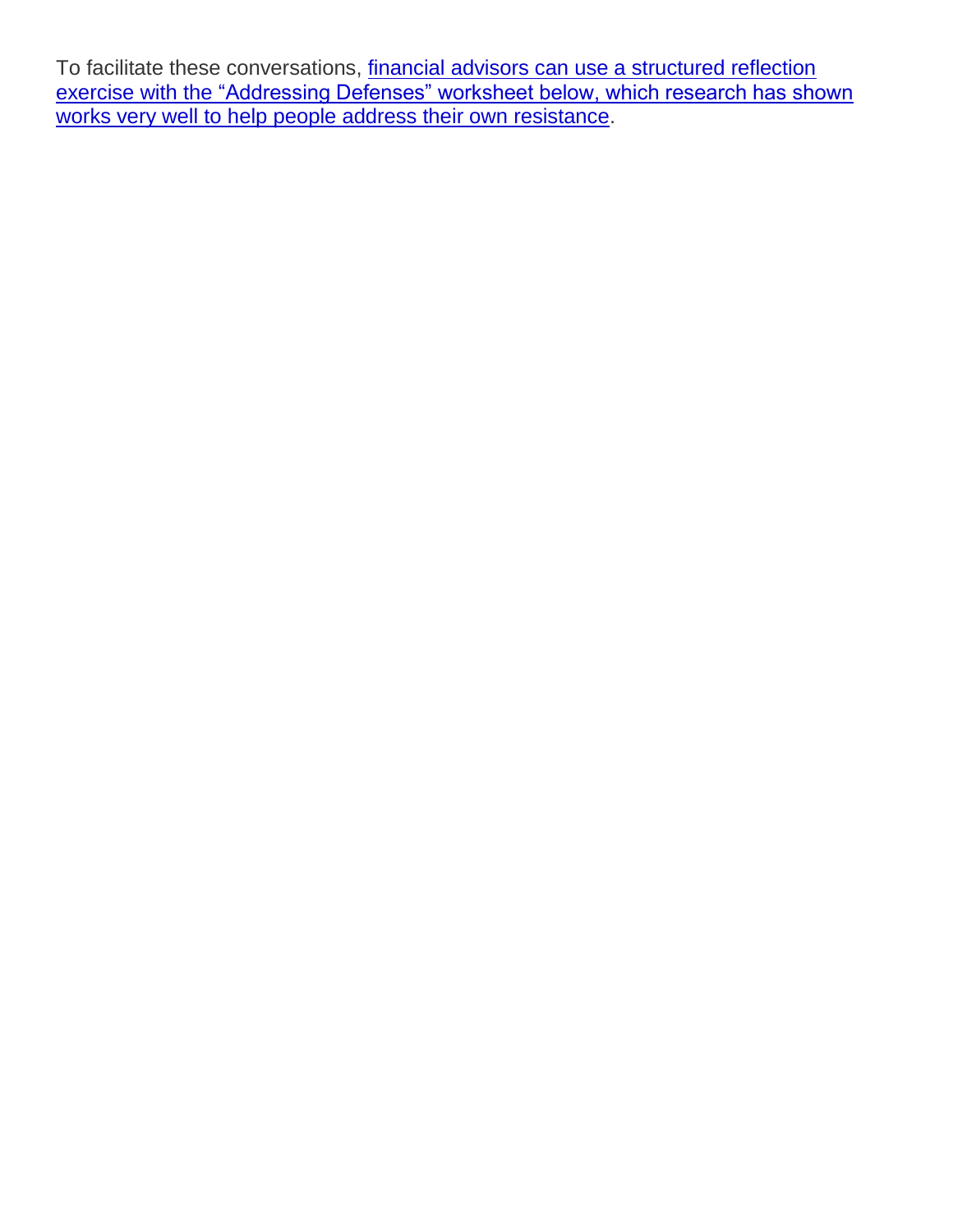To facilitate these conversations, financial advisors can use a structured reflection exercise with the ["Addressing Defenses" worksheet below, which research has shown](https://www.kitces.com/blog/reflection-client-conversation-technique-behavioral-bias-resistance-implementation/)  [works very well to help people address their own resistance.](https://www.kitces.com/blog/reflection-client-conversation-technique-behavioral-bias-resistance-implementation/)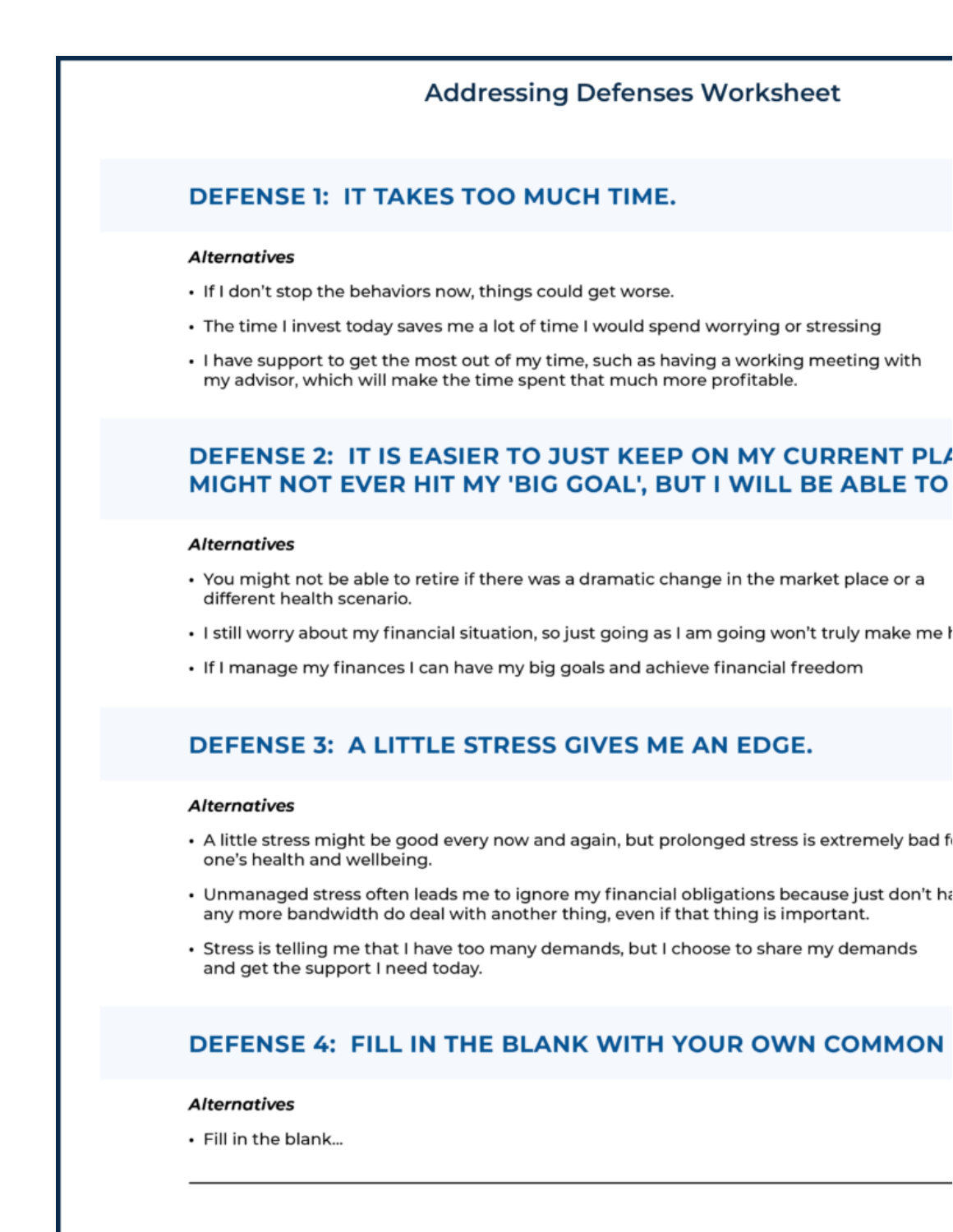# **Addressing Defenses Worksheet**

## **DEFENSE 1: IT TAKES TOO MUCH TIME.**

#### **Alternatives**

- . If I don't stop the behaviors now, things could get worse.
- The time I invest today saves me a lot of time I would spend worrying or stressing
- . I have support to get the most out of my time, such as having a working meeting with my advisor, which will make the time spent that much more profitable.

# DEFENSE 2: IT IS EASIER TO JUST KEEP ON MY CURRENT PLA MIGHT NOT EVER HIT MY 'BIG GOAL', BUT I WILL BE ABLE TO

#### **Alternatives**

- You might not be able to retire if there was a dramatic change in the market place or a different health scenario.
- · I still worry about my financial situation, so just going as I am going won't truly make me I
- If I manage my finances I can have my big goals and achieve financial freedom

## **DEFENSE 3: A LITTLE STRESS GIVES ME AN EDGE.**

#### **Alternatives**

- A little stress might be good every now and again, but prolonged stress is extremely bad f one's health and wellbeing.
- Unmanaged stress often leads me to ignore my financial obligations because just don't ha any more bandwidth do deal with another thing, even if that thing is important.
- Stress is telling me that I have too many demands, but I choose to share my demands and get the support I need today.

### DEFENSE 4: FILL IN THE BLANK WITH YOUR OWN COMMON

#### **Alternatives**

· Fill in the blank...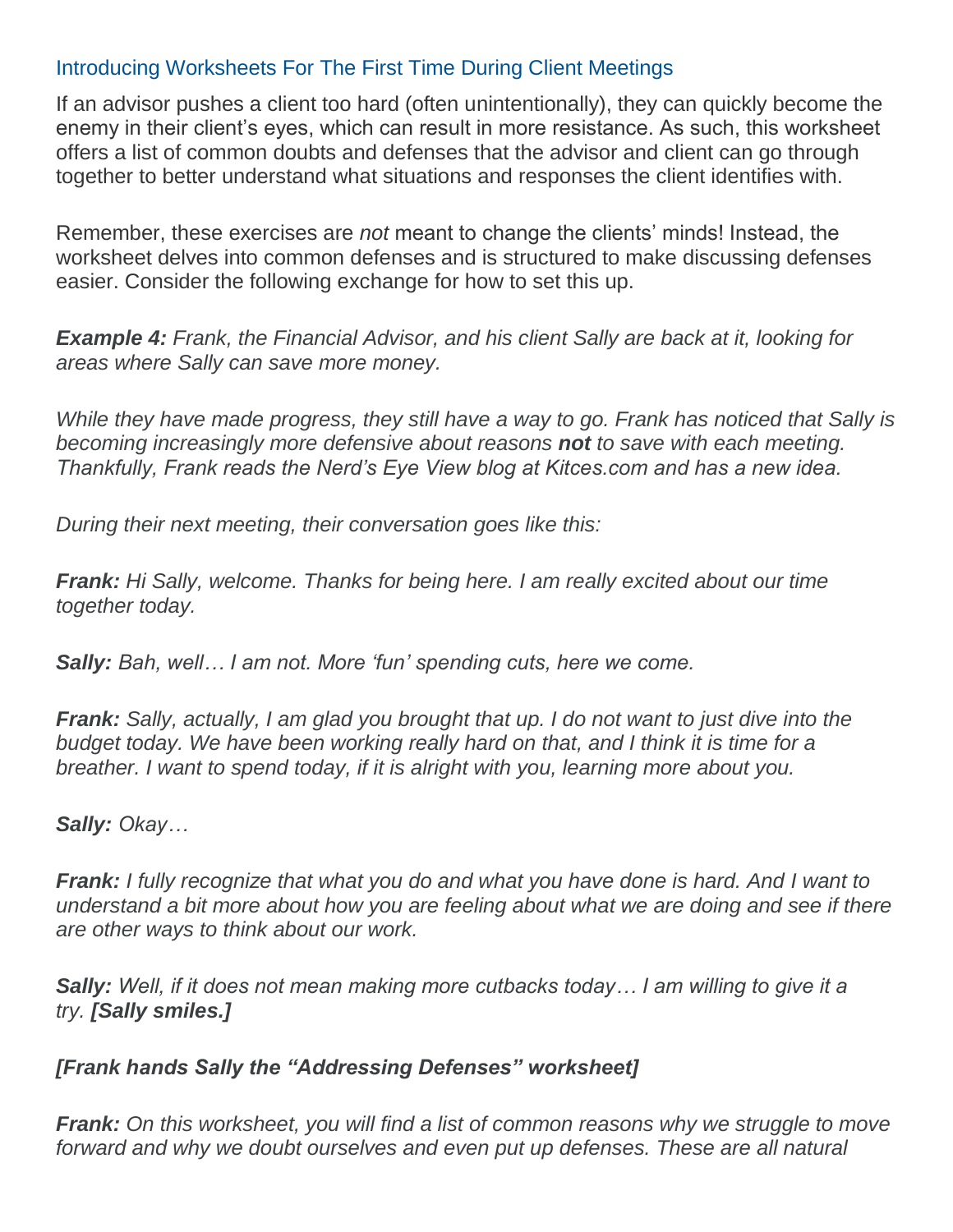### Introducing Worksheets For The First Time During Client Meetings

If an advisor pushes a client too hard (often unintentionally), they can quickly become the enemy in their client's eyes, which can result in more resistance. As such, this worksheet offers a list of common doubts and defenses that the advisor and client can go through together to better understand what situations and responses the client identifies with.

Remember, these exercises are *not* meant to change the clients' minds! Instead, the worksheet delves into common defenses and is structured to make discussing defenses easier. Consider the following exchange for how to set this up.

*Example 4: Frank, the Financial Advisor, and his client Sally are back at it, looking for areas where Sally can save more money.*

*While they have made progress, they still have a way to go. Frank has noticed that Sally is becoming increasingly more defensive about reasons not to save with each meeting. Thankfully, Frank reads the Nerd's Eye View blog at Kitces.com and has a new idea.*

*During their next meeting, their conversation goes like this:*

*Frank: Hi Sally, welcome. Thanks for being here. I am really excited about our time together today.*

*Sally: Bah, well… I am not. More 'fun' spending cuts, here we come.*

*Frank: Sally, actually, I am glad you brought that up. I do not want to just dive into the budget today. We have been working really hard on that, and I think it is time for a breather. I want to spend today, if it is alright with you, learning more about you.*

#### *Sally: Okay…*

*Frank: I fully recognize that what you do and what you have done is hard. And I want to understand a bit more about how you are feeling about what we are doing and see if there are other ways to think about our work.*

*Sally: Well, if it does not mean making more cutbacks today… I am willing to give it a try. [Sally smiles.]*

#### *[Frank hands Sally the "Addressing Defenses" worksheet]*

*Frank: On this worksheet, you will find a list of common reasons why we struggle to move*  forward and why we doubt ourselves and even put up defenses. These are all natural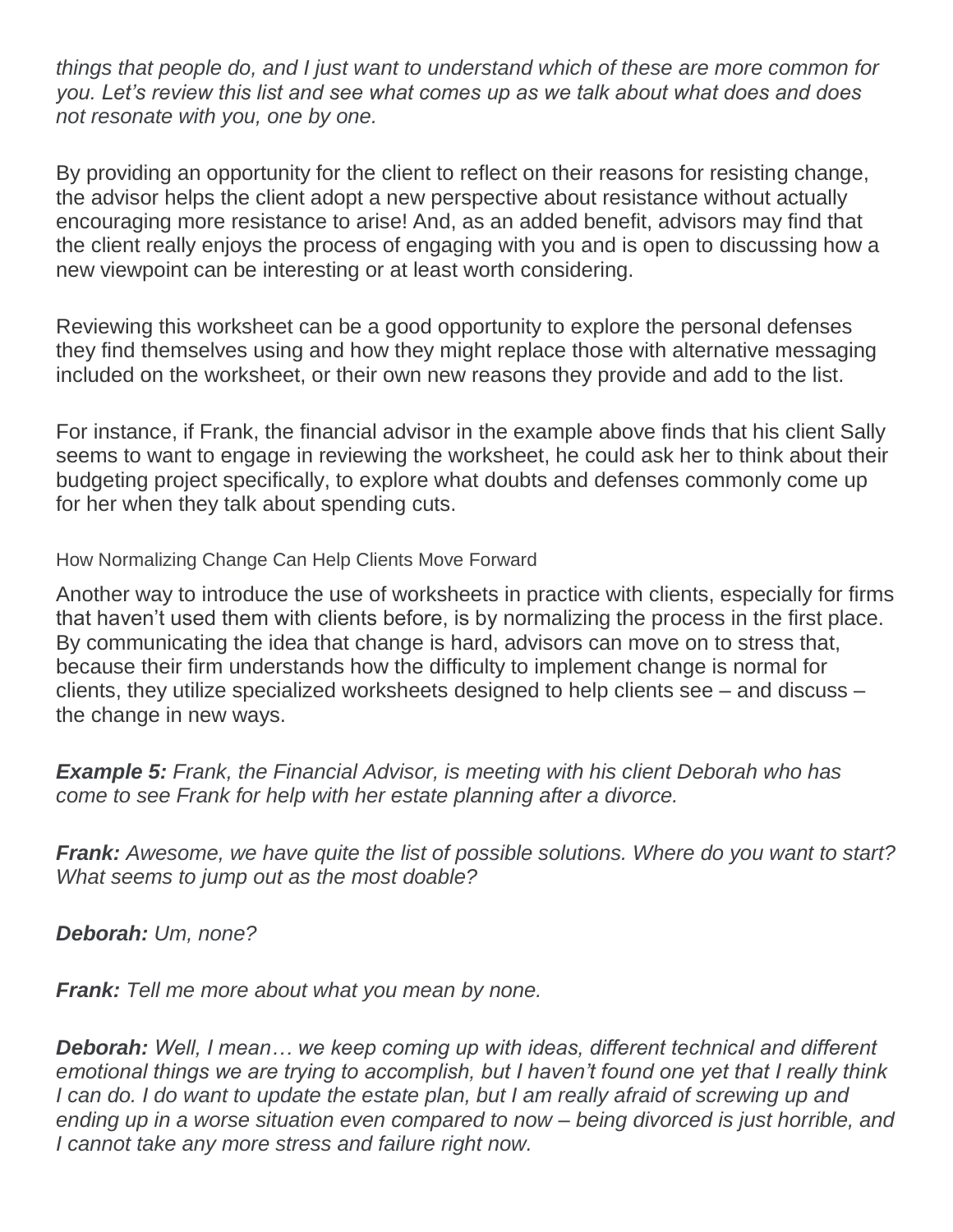*things that people do, and I just want to understand which of these are more common for you. Let's review this list and see what comes up as we talk about what does and does not resonate with you, one by one.*

By providing an opportunity for the client to reflect on their reasons for resisting change, the advisor helps the client adopt a new perspective about resistance without actually encouraging more resistance to arise! And, as an added benefit, advisors may find that the client really enjoys the process of engaging with you and is open to discussing how a new viewpoint can be interesting or at least worth considering.

Reviewing this worksheet can be a good opportunity to explore the personal defenses they find themselves using and how they might replace those with alternative messaging included on the worksheet, or their own new reasons they provide and add to the list.

For instance, if Frank, the financial advisor in the example above finds that his client Sally seems to want to engage in reviewing the worksheet, he could ask her to think about their budgeting project specifically, to explore what doubts and defenses commonly come up for her when they talk about spending cuts.

How Normalizing Change Can Help Clients Move Forward

Another way to introduce the use of worksheets in practice with clients, especially for firms that haven't used them with clients before, is by normalizing the process in the first place. By communicating the idea that change is hard, advisors can move on to stress that, because their firm understands how the difficulty to implement change is normal for clients, they utilize specialized worksheets designed to help clients see – and discuss – the change in new ways.

*Example 5: Frank, the Financial Advisor, is meeting with his client Deborah who has come to see Frank for help with her estate planning after a divorce.*

*Frank: Awesome, we have quite the list of possible solutions. Where do you want to start? What seems to jump out as the most doable?*

*Deborah: Um, none?*

*Frank: Tell me more about what you mean by none.*

*Deborah: Well, I mean… we keep coming up with ideas, different technical and different emotional things we are trying to accomplish, but I haven't found one yet that I really think I can do. I do want to update the estate plan, but I am really afraid of screwing up and ending up in a worse situation even compared to now – being divorced is just horrible, and I cannot take any more stress and failure right now.*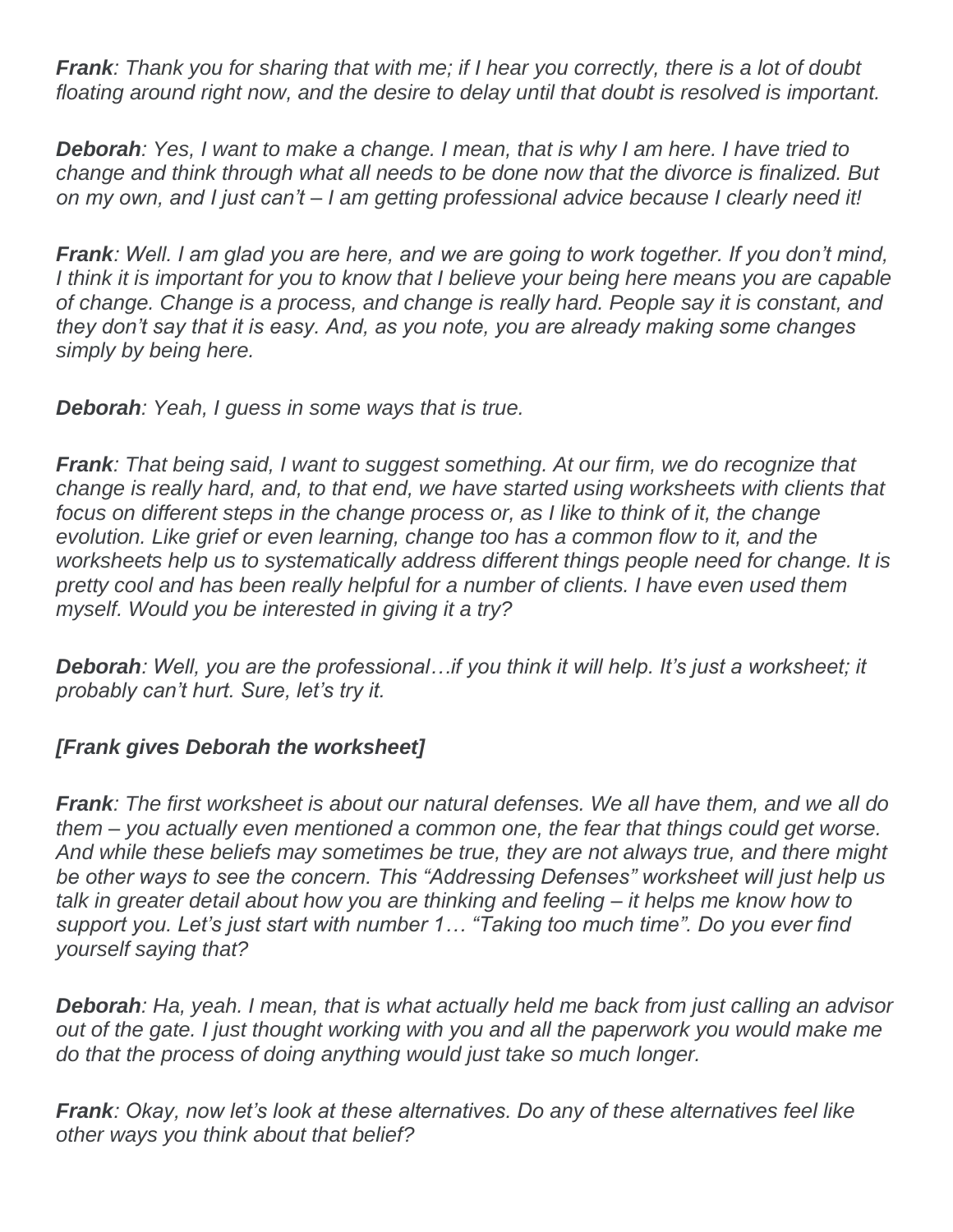*Frank: Thank you for sharing that with me; if I hear you correctly, there is a lot of doubt floating around right now, and the desire to delay until that doubt is resolved is important.*

*Deborah: Yes, I want to make a change. I mean, that is why I am here. I have tried to change and think through what all needs to be done now that the divorce is finalized. But on my own, and I just can't – I am getting professional advice because I clearly need it!*

*Frank: Well. I am glad you are here, and we are going to work together. If you don't mind, I think it is important for you to know that I believe your being here means you are capable of change. Change is a process, and change is really hard. People say it is constant, and they don't say that it is easy. And, as you note, you are already making some changes simply by being here.*

*Deborah: Yeah, I guess in some ways that is true.*

*Frank: That being said, I want to suggest something. At our firm, we do recognize that change is really hard, and, to that end, we have started using worksheets with clients that*  focus on different steps in the change process or, as I like to think of it, the change *evolution. Like grief or even learning, change too has a common flow to it, and the worksheets help us to systematically address different things people need for change. It is pretty cool and has been really helpful for a number of clients. I have even used them myself. Would you be interested in giving it a try?*

*Deborah: Well, you are the professional…if you think it will help. It's just a worksheet; it probably can't hurt. Sure, let's try it.*

### *[Frank gives Deborah the worksheet]*

*Frank: The first worksheet is about our natural defenses. We all have them, and we all do them – you actually even mentioned a common one, the fear that things could get worse. And while these beliefs may sometimes be true, they are not always true, and there might be other ways to see the concern. This "Addressing Defenses" worksheet will just help us talk in greater detail about how you are thinking and feeling – it helps me know how to support you. Let's just start with number 1… "Taking too much time". Do you ever find yourself saying that?*

*Deborah: Ha, yeah. I mean, that is what actually held me back from just calling an advisor out of the gate. I just thought working with you and all the paperwork you would make me do that the process of doing anything would just take so much longer.*

*Frank: Okay, now let's look at these alternatives. Do any of these alternatives feel like other ways you think about that belief?*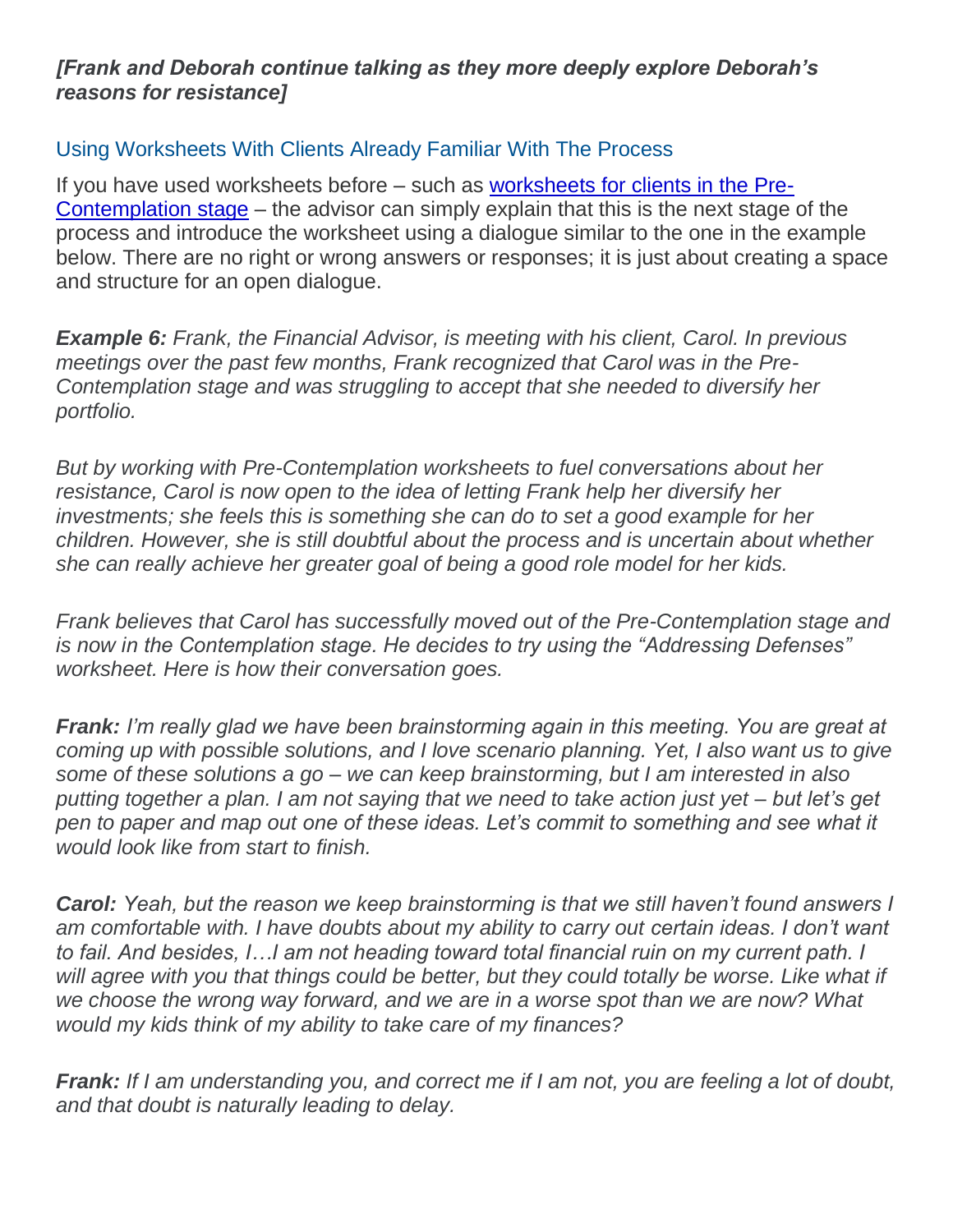#### *[Frank and Deborah continue talking as they more deeply explore Deborah's reasons for resistance]*

#### Using Worksheets With Clients Already Familiar With The Process

If you have used worksheets before – such as [worksheets for clients in the Pre-](https://www.kitces.com/blog/pre-contemplation-stages-of-change-transtheoretical-model-changing-to-thrive/)[Contemplation stage](https://www.kitces.com/blog/pre-contemplation-stages-of-change-transtheoretical-model-changing-to-thrive/) – the advisor can simply explain that this is the next stage of the process and introduce the worksheet using a dialogue similar to the one in the example below. There are no right or wrong answers or responses; it is just about creating a space and structure for an open dialogue.

*Example 6: Frank, the Financial Advisor, is meeting with his client, Carol. In previous meetings over the past few months, Frank recognized that Carol was in the Pre-Contemplation stage and was struggling to accept that she needed to diversify her portfolio.*

*But by working with Pre-Contemplation worksheets to fuel conversations about her*  resistance, Carol is now open to the idea of letting Frank help her diversify her *investments; she feels this is something she can do to set a good example for her children. However, she is still doubtful about the process and is uncertain about whether she can really achieve her greater goal of being a good role model for her kids.*

*Frank believes that Carol has successfully moved out of the Pre-Contemplation stage and is now in the Contemplation stage. He decides to try using the "Addressing Defenses" worksheet. Here is how their conversation goes.*

*Frank: I'm really glad we have been brainstorming again in this meeting. You are great at coming up with possible solutions, and I love scenario planning. Yet, I also want us to give some of these solutions a go – we can keep brainstorming, but I am interested in also putting together a plan. I am not saying that we need to take action just yet – but let's get pen to paper and map out one of these ideas. Let's commit to something and see what it would look like from start to finish.*

*Carol: Yeah, but the reason we keep brainstorming is that we still haven't found answers I am comfortable with. I have doubts about my ability to carry out certain ideas. I don't want to fail. And besides, I…I am not heading toward total financial ruin on my current path. I*  will agree with you that things could be better, but they could totally be worse. Like what if *we choose the wrong way forward, and we are in a worse spot than we are now? What would my kids think of my ability to take care of my finances?*

*Frank: If I am understanding you, and correct me if I am not, you are feeling a lot of doubt, and that doubt is naturally leading to delay.*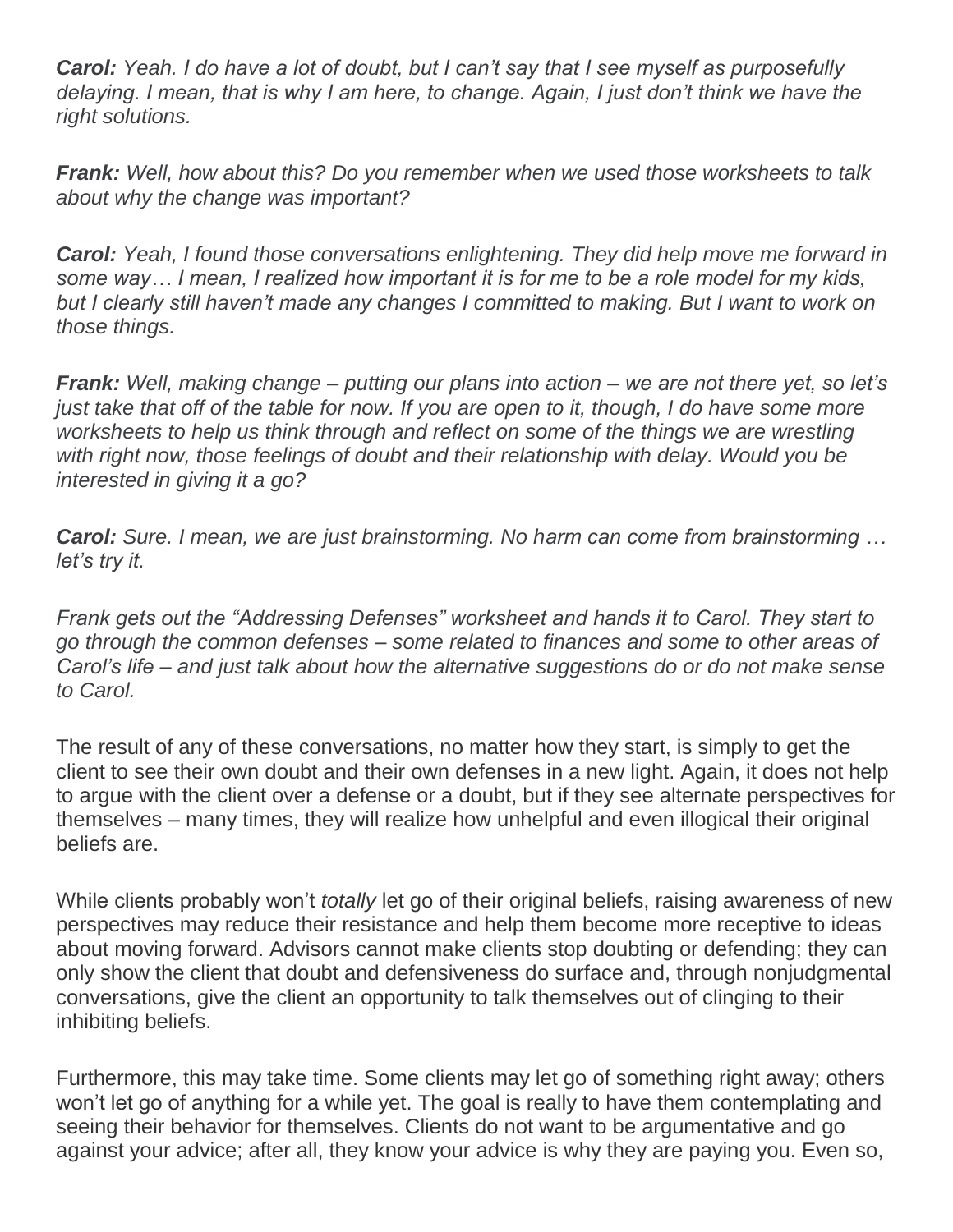*Carol: Yeah. I do have a lot of doubt, but I can't say that I see myself as purposefully delaying. I mean, that is why I am here, to change. Again, I just don't think we have the right solutions.*

*Frank: Well, how about this? Do you remember when we used those worksheets to talk about why the change was important?*

*Carol: Yeah, I found those conversations enlightening. They did help move me forward in some way… I mean, I realized how important it is for me to be a role model for my kids,*  but I clearly still haven't made any changes I committed to making. But I want to work on *those things.*

*Frank: Well, making change – putting our plans into action – we are not there yet, so let's just take that off of the table for now. If you are open to it, though, I do have some more worksheets to help us think through and reflect on some of the things we are wrestling with right now, those feelings of doubt and their relationship with delay. Would you be interested in giving it a go?*

*Carol: Sure. I mean, we are just brainstorming. No harm can come from brainstorming … let's try it.*

*Frank gets out the "Addressing Defenses" worksheet and hands it to Carol. They start to go through the common defenses – some related to finances and some to other areas of Carol's life – and just talk about how the alternative suggestions do or do not make sense to Carol.*

The result of any of these conversations, no matter how they start, is simply to get the client to see their own doubt and their own defenses in a new light. Again, it does not help to argue with the client over a defense or a doubt, but if they see alternate perspectives for themselves – many times, they will realize how unhelpful and even illogical their original beliefs are.

While clients probably won't *totally* let go of their original beliefs, raising awareness of new perspectives may reduce their resistance and help them become more receptive to ideas about moving forward. Advisors cannot make clients stop doubting or defending; they can only show the client that doubt and defensiveness do surface and, through nonjudgmental conversations, give the client an opportunity to talk themselves out of clinging to their inhibiting beliefs.

Furthermore, this may take time. Some clients may let go of something right away; others won't let go of anything for a while yet. The goal is really to have them contemplating and seeing their behavior for themselves. Clients do not want to be argumentative and go against your advice; after all, they know your advice is why they are paying you. Even so,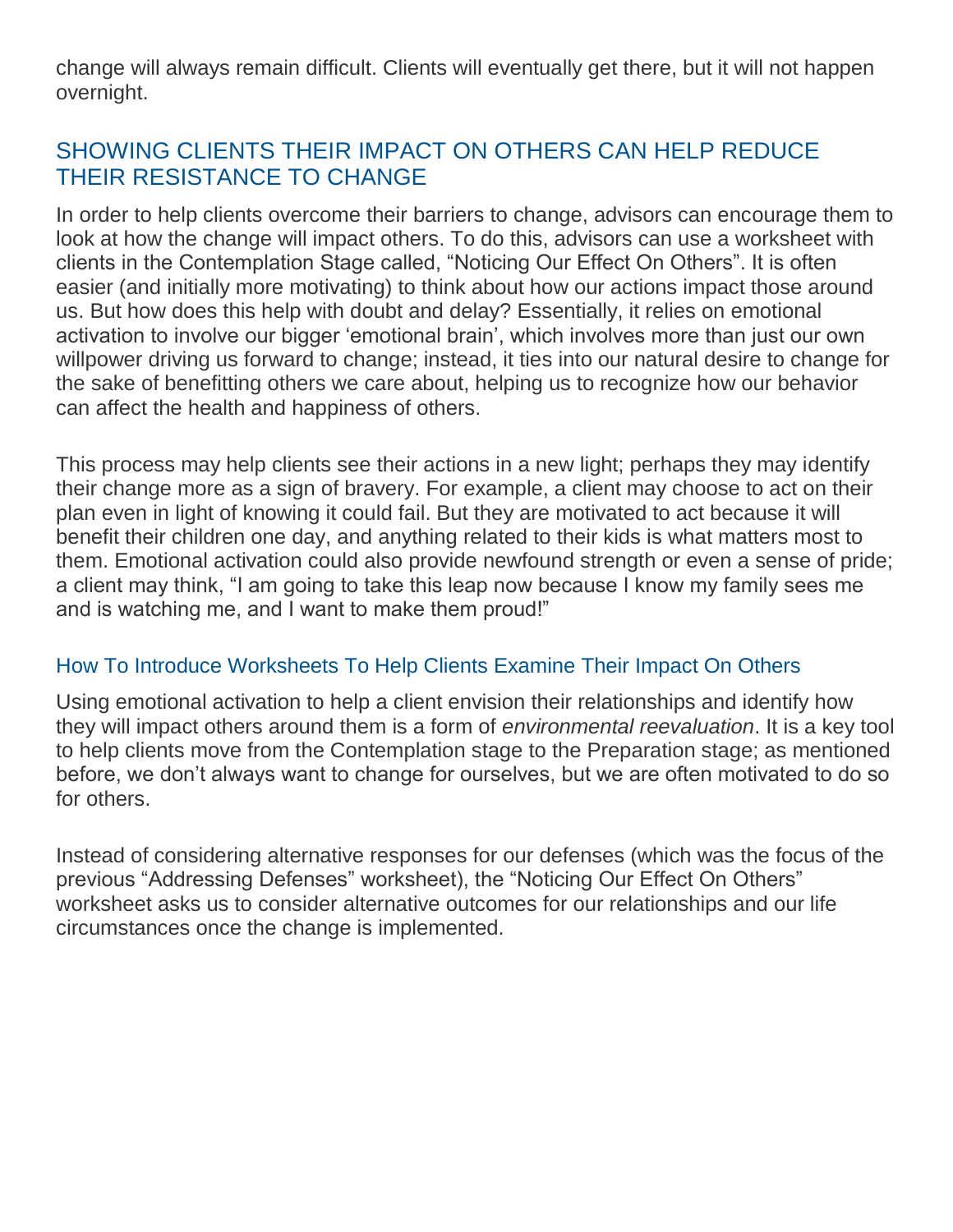change will always remain difficult. Clients will eventually get there, but it will not happen overnight.

## SHOWING CLIENTS THEIR IMPACT ON OTHERS CAN HELP REDUCE THEIR RESISTANCE TO CHANGE

In order to help clients overcome their barriers to change, advisors can encourage them to look at how the change will impact others. To do this, advisors can use a worksheet with clients in the Contemplation Stage called, "Noticing Our Effect On Others". It is often easier (and initially more motivating) to think about how our actions impact those around us. But how does this help with doubt and delay? Essentially, it relies on emotional activation to involve our bigger 'emotional brain', which involves more than just our own willpower driving us forward to change; instead, it ties into our natural desire to change for the sake of benefitting others we care about, helping us to recognize how our behavior can affect the health and happiness of others.

This process may help clients see their actions in a new light; perhaps they may identify their change more as a sign of bravery. For example, a client may choose to act on their plan even in light of knowing it could fail. But they are motivated to act because it will benefit their children one day, and anything related to their kids is what matters most to them. Emotional activation could also provide newfound strength or even a sense of pride; a client may think, "I am going to take this leap now because I know my family sees me and is watching me, and I want to make them proud!"

#### How To Introduce Worksheets To Help Clients Examine Their Impact On Others

Using emotional activation to help a client envision their relationships and identify how they will impact others around them is a form of *environmental reevaluation*. It is a key tool to help clients move from the Contemplation stage to the Preparation stage; as mentioned before, we don't always want to change for ourselves, but we are often motivated to do so for others.

Instead of considering alternative responses for our defenses (which was the focus of the previous "Addressing Defenses" worksheet), the "Noticing Our Effect On Others" worksheet asks us to consider alternative outcomes for our relationships and our life circumstances once the change is implemented.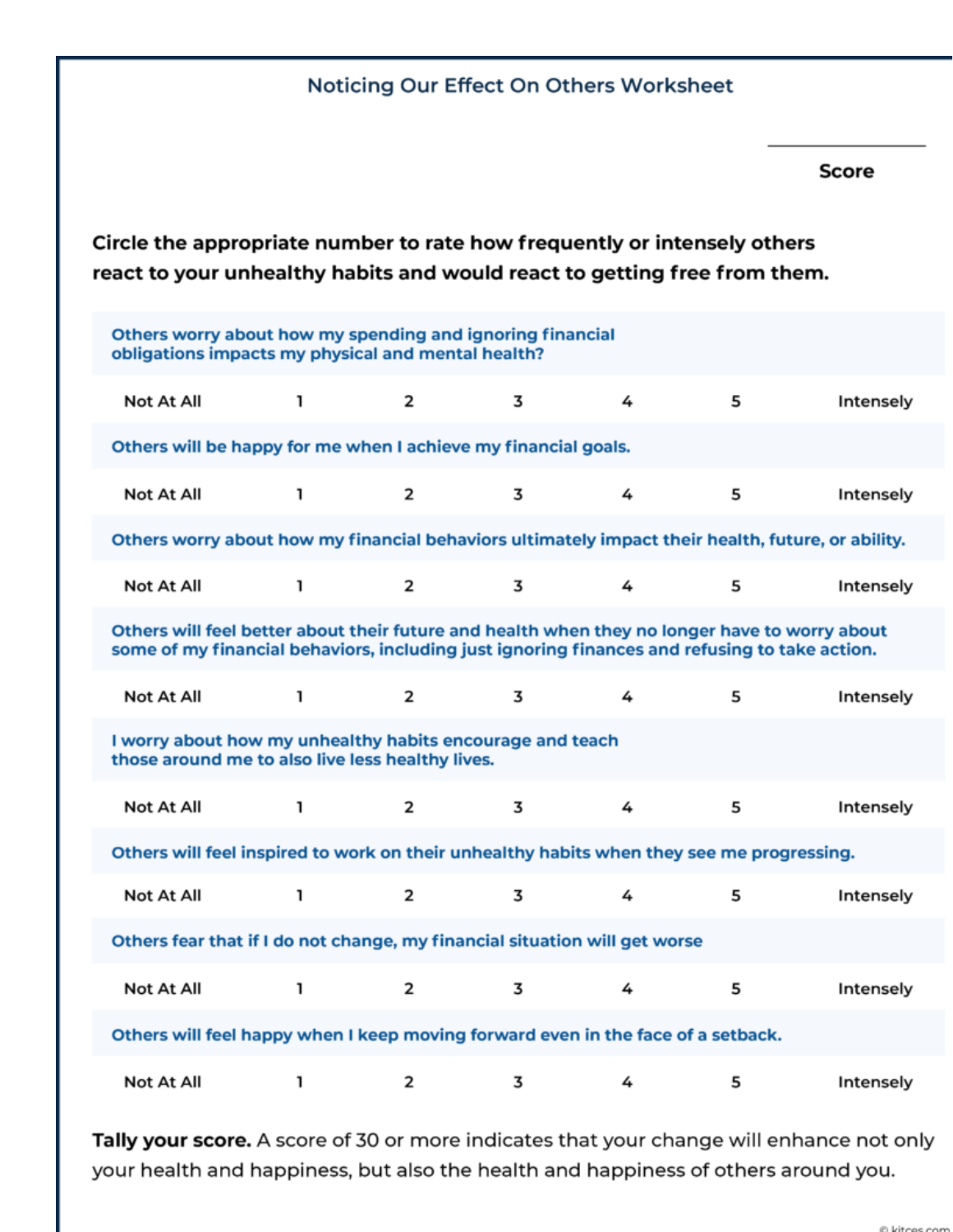| Noticing Our Effect On Others Worksheet                                                                                                                                                        |                                                                                                                 |   |   |   |   |   |              |
|------------------------------------------------------------------------------------------------------------------------------------------------------------------------------------------------|-----------------------------------------------------------------------------------------------------------------|---|---|---|---|---|--------------|
|                                                                                                                                                                                                |                                                                                                                 |   |   |   |   |   | <b>Score</b> |
| Circle the appropriate number to rate how frequently or intensely others<br>react to your unhealthy habits and would react to getting free from them.                                          |                                                                                                                 |   |   |   |   |   |              |
|                                                                                                                                                                                                | Others worry about how my spending and ignoring financial<br>obligations impacts my physical and mental health? |   |   |   |   |   |              |
|                                                                                                                                                                                                | Not At All                                                                                                      | ı | 2 | 3 | 4 | 5 | Intensely    |
|                                                                                                                                                                                                | Others will be happy for me when I achieve my financial goals.                                                  |   |   |   |   |   |              |
|                                                                                                                                                                                                | Not At All                                                                                                      | ı | 2 | 3 | 4 | 5 | Intensely    |
|                                                                                                                                                                                                | Others worry about how my financial behaviors ultimately impact their health, future, or ability.               |   |   |   |   |   |              |
|                                                                                                                                                                                                | Not At All                                                                                                      | ı | 2 | 3 | 4 | 5 | Intensely    |
| Others will feel better about their future and health when they no longer have to worry about<br>some of my financial behaviors, including just ignoring finances and refusing to take action. |                                                                                                                 |   |   |   |   |   |              |
|                                                                                                                                                                                                | Not At All                                                                                                      | ı | 2 | 3 | 4 | 5 | Intensely    |
| I worry about how my unhealthy habits encourage and teach<br>those around me to also live less healthy lives.                                                                                  |                                                                                                                 |   |   |   |   |   |              |
|                                                                                                                                                                                                | Not At All                                                                                                      | ı | 2 | 3 | 4 | 5 | Intensely    |
| Others will feel inspired to work on their unhealthy habits when they see me progressing.                                                                                                      |                                                                                                                 |   |   |   |   |   |              |
|                                                                                                                                                                                                | Not At All                                                                                                      | ı | 2 | 3 | 4 | 5 | Intensely    |
|                                                                                                                                                                                                | Others fear that if I do not change, my financial situation will get worse                                      |   |   |   |   |   |              |
|                                                                                                                                                                                                | Not At All                                                                                                      | ı | 2 | 3 | 4 | 5 | Intensely    |
| Others will feel happy when I keep moving forward even in the face of a setback.                                                                                                               |                                                                                                                 |   |   |   |   |   |              |
|                                                                                                                                                                                                | Not At All                                                                                                      | ı | 2 | 3 | 4 | 5 | Intensely    |

Tally your score. A score of 30 or more indicates that your change will enhance not only your health and happiness, but also the health and happiness of others around you.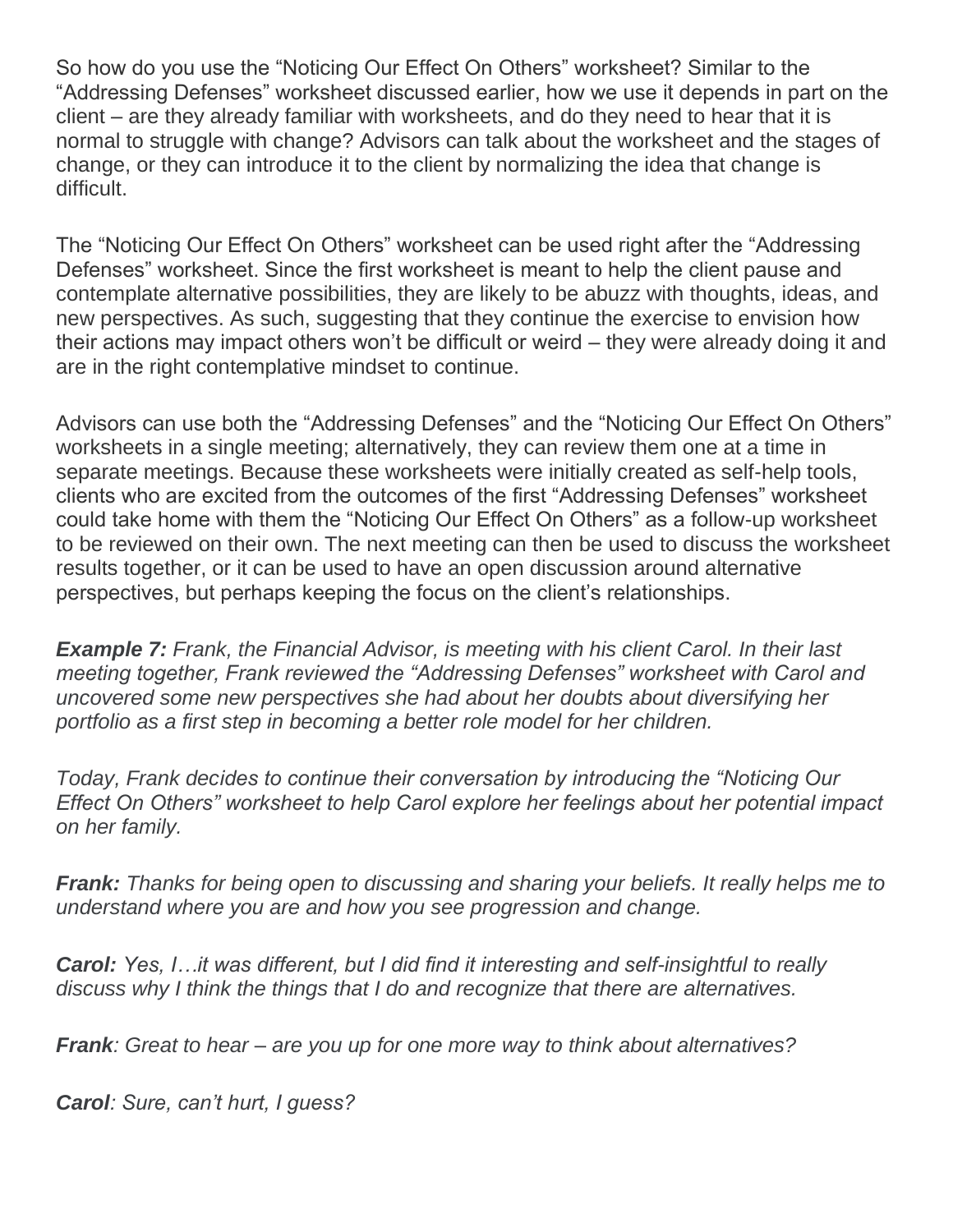So how do you use the "Noticing Our Effect On Others" worksheet? Similar to the "Addressing Defenses" worksheet discussed earlier, how we use it depends in part on the client – are they already familiar with worksheets, and do they need to hear that it is normal to struggle with change? Advisors can talk about the worksheet and the stages of change, or they can introduce it to the client by normalizing the idea that change is difficult.

The "Noticing Our Effect On Others" worksheet can be used right after the "Addressing Defenses" worksheet. Since the first worksheet is meant to help the client pause and contemplate alternative possibilities, they are likely to be abuzz with thoughts, ideas, and new perspectives. As such, suggesting that they continue the exercise to envision how their actions may impact others won't be difficult or weird – they were already doing it and are in the right contemplative mindset to continue.

Advisors can use both the "Addressing Defenses" and the "Noticing Our Effect On Others" worksheets in a single meeting; alternatively, they can review them one at a time in separate meetings. Because these worksheets were initially created as self-help tools, clients who are excited from the outcomes of the first "Addressing Defenses" worksheet could take home with them the "Noticing Our Effect On Others" as a follow-up worksheet to be reviewed on their own. The next meeting can then be used to discuss the worksheet results together, or it can be used to have an open discussion around alternative perspectives, but perhaps keeping the focus on the client's relationships.

*Example 7: Frank, the Financial Advisor, is meeting with his client Carol. In their last meeting together, Frank reviewed the "Addressing Defenses" worksheet with Carol and uncovered some new perspectives she had about her doubts about diversifying her portfolio as a first step in becoming a better role model for her children.*

*Today, Frank decides to continue their conversation by introducing the "Noticing Our Effect On Others" worksheet to help Carol explore her feelings about her potential impact on her family.*

*Frank: Thanks for being open to discussing and sharing your beliefs. It really helps me to understand where you are and how you see progression and change.*

*Carol: Yes, I…it was different, but I did find it interesting and self-insightful to really discuss why I think the things that I do and recognize that there are alternatives.*

*Frank: Great to hear – are you up for one more way to think about alternatives?*

*Carol: Sure, can't hurt, I guess?*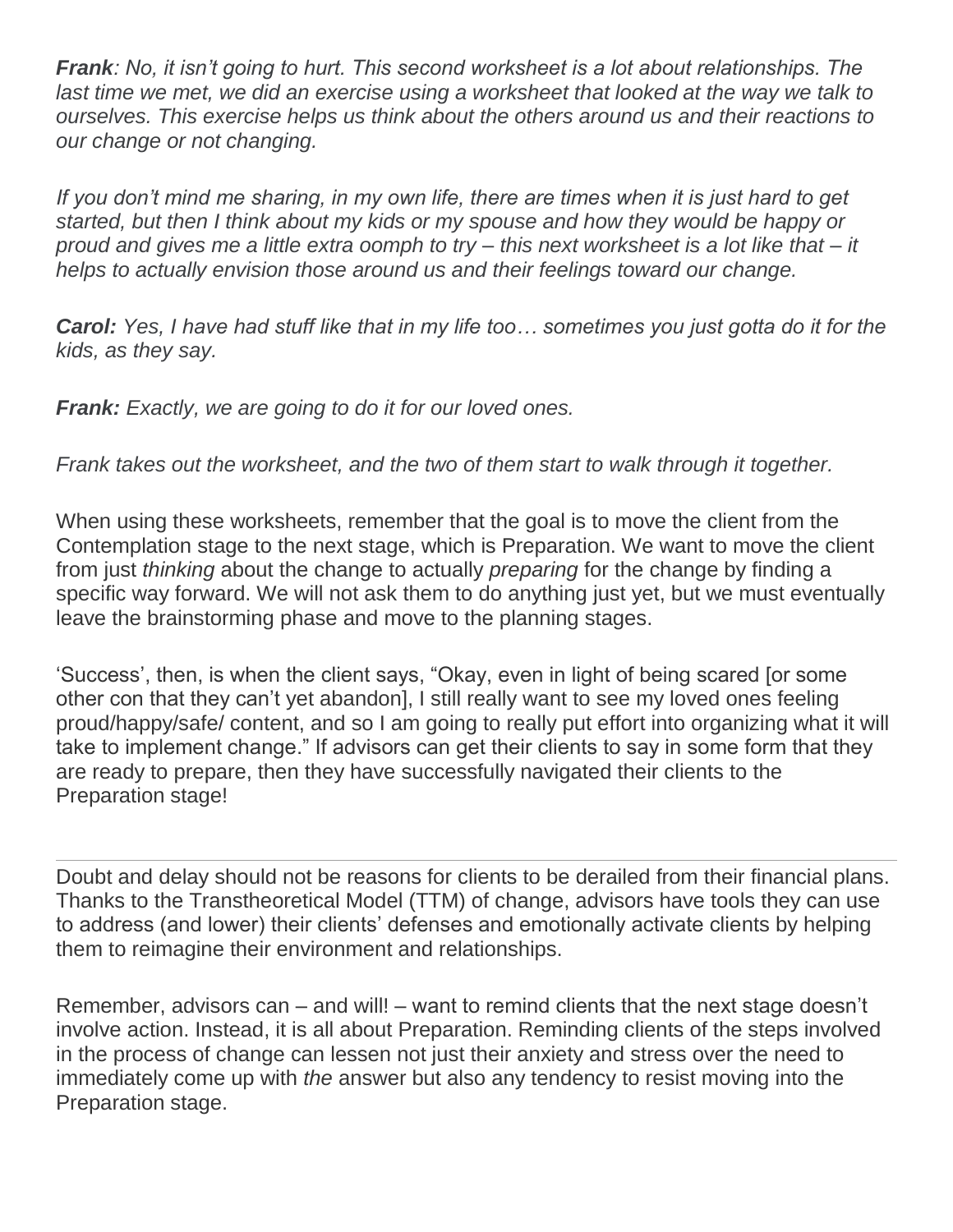*Frank: No, it isn't going to hurt. This second worksheet is a lot about relationships. The*  last time we met, we did an exercise using a worksheet that looked at the way we talk to *ourselves. This exercise helps us think about the others around us and their reactions to our change or not changing.*

If you don't mind me sharing, in my own life, there are times when it is just hard to get *started, but then I think about my kids or my spouse and how they would be happy or proud and gives me a little extra oomph to try – this next worksheet is a lot like that – it helps to actually envision those around us and their feelings toward our change.*

*Carol: Yes, I have had stuff like that in my life too… sometimes you just gotta do it for the kids, as they say.*

*Frank: Exactly, we are going to do it for our loved ones.*

*Frank takes out the worksheet, and the two of them start to walk through it together.*

When using these worksheets, remember that the goal is to move the client from the Contemplation stage to the next stage, which is Preparation. We want to move the client from just *thinking* about the change to actually *preparing* for the change by finding a specific way forward. We will not ask them to do anything just yet, but we must eventually leave the brainstorming phase and move to the planning stages.

'Success', then, is when the client says, "Okay, even in light of being scared [or some other con that they can't yet abandon], I still really want to see my loved ones feeling proud/happy/safe/ content, and so I am going to really put effort into organizing what it will take to implement change." If advisors can get their clients to say in some form that they are ready to prepare, then they have successfully navigated their clients to the Preparation stage!

Doubt and delay should not be reasons for clients to be derailed from their financial plans. Thanks to the Transtheoretical Model (TTM) of change, advisors have tools they can use to address (and lower) their clients' defenses and emotionally activate clients by helping them to reimagine their environment and relationships.

Remember, advisors can – and will! – want to remind clients that the next stage doesn't involve action. Instead, it is all about Preparation. Reminding clients of the steps involved in the process of change can lessen not just their anxiety and stress over the need to immediately come up with *the* answer but also any tendency to resist moving into the Preparation stage.